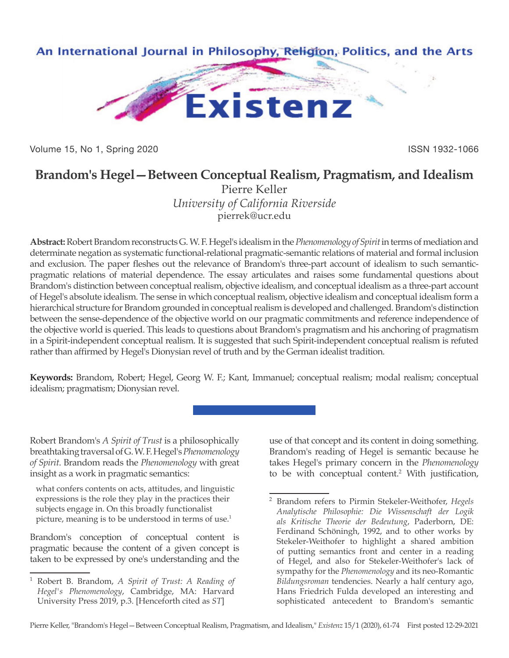

Volume 15, No 1, Spring 2020 **ISSN 1932-1066** ISSN 1932-1066

## **Brandom's Hegel—Between Conceptual Realism, Pragmatism, and Idealism**

Pierre Keller *University of California Riverside* pierrek@ucr.edu

**Abstract:** Robert Brandom reconstructs G. W. F. Hegel's idealism in the *Phenomenology of Spirit* in terms of mediation and determinate negation as systematic functional-relational pragmatic-semantic relations of material and formal inclusion and exclusion. The paper fleshes out the relevance of Brandom's three-part account of idealism to such semanticpragmatic relations of material dependence. The essay articulates and raises some fundamental questions about Brandom's distinction between conceptual realism, objective idealism, and conceptual idealism as a three-part account of Hegel's absolute idealism. The sense in which conceptual realism, objective idealism and conceptual idealism form a hierarchical structure for Brandom grounded in conceptual realism is developed and challenged. Brandom's distinction between the sense-dependence of the objective world on our pragmatic commitments and reference independence of the objective world is queried. This leads to questions about Brandom's pragmatism and his anchoring of pragmatism in a Spirit-independent conceptual realism. It is suggested that such Spirit-independent conceptual realism is refuted rather than affirmed by Hegel's Dionysian revel of truth and by the German idealist tradition.

**Keywords:** Brandom, Robert; Hegel, Georg W. F.; Kant, Immanuel; conceptual realism; modal realism; conceptual idealism; pragmatism; Dionysian revel.

Robert Brandom's *A Spirit of Trust* is a philosophically breathtaking traversal of G. W. F. Hegel's *Phenomenology of Spirit*. Brandom reads the *Phenomenology* with great insight as a work in pragmatic semantics:

what confers contents on acts, attitudes, and linguistic expressions is the role they play in the practices their subjects engage in. On this broadly functionalist picture, meaning is to be understood in terms of use.<sup>1</sup>

Brandom's conception of conceptual content is pragmatic because the content of a given concept is taken to be expressed by one's understanding and the use of that concept and its content in doing something. Brandom's reading of Hegel is semantic because he takes Hegel's primary concern in the *Phenomenology* to be with conceptual content.<sup>2</sup> With justification,

<sup>1</sup> Robert B. Brandom, *A Spirit of Trust: A Reading of Hegel's Phenomenology*, Cambridge, MA: Harvard University Press 2019, p.3. [Henceforth cited as *ST*]

<sup>2</sup> Brandom refers to Pirmin Stekeler-Weithofer, *Hegels Analytische Philosophie: Die Wissenschaft der Logik als Kritische Theorie der Bedeutung*, Paderborn, DE: Ferdinand Schöningh, 1992, and to other works by Stekeler-Weithofer to highlight a shared ambition of putting semantics front and center in a reading of Hegel, and also for Stekeler-Weithofer's lack of sympathy for the *Phenomenology* and its neo-Romantic *Bildungsroman* tendencies. Nearly a half century ago, Hans Friedrich Fulda developed an interesting and sophisticated antecedent to Brandom's semantic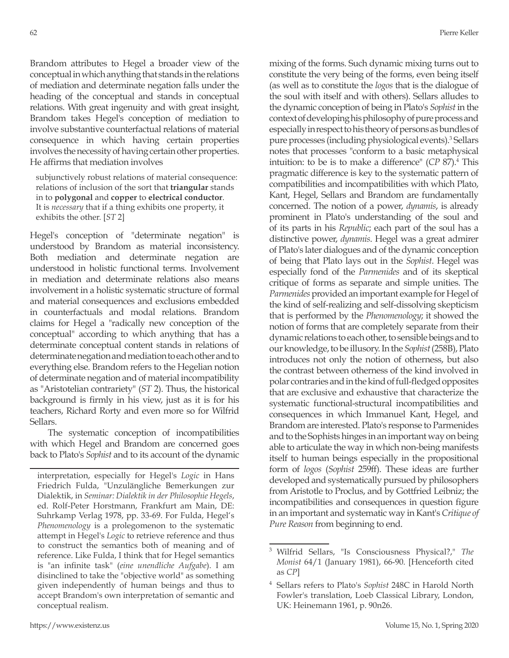Brandom attributes to Hegel a broader view of the conceptual in which anything that stands in the relations of mediation and determinate negation falls under the heading of the conceptual and stands in conceptual relations. With great ingenuity and with great insight, Brandom takes Hegel's conception of mediation to involve substantive counterfactual relations of material consequence in which having certain properties involves the necessity of having certain other properties. He affirms that mediation involves

subjunctively robust relations of material consequence: relations of inclusion of the sort that **triangular** stands in to **polygonal** and **copper** to **electrical conductor**. It is *necessary* that if a thing exhibits one property, it exhibits the other. [*ST* 2]

Hegel's conception of "determinate negation" is understood by Brandom as material inconsistency. Both mediation and determinate negation are understood in holistic functional terms. Involvement in mediation and determinate relations also means involvement in a holistic systematic structure of formal and material consequences and exclusions embedded in counterfactuals and modal relations. Brandom claims for Hegel a "radically new conception of the conceptual" according to which anything that has a determinate conceptual content stands in relations of determinate negation and mediation to each other and to everything else. Brandom refers to the Hegelian notion of determinate negation and of material incompatibility as "Aristotelian contrariety" (*ST* 2). Thus, the historical background is firmly in his view, just as it is for his teachers, Richard Rorty and even more so for Wilfrid Sellars.

The systematic conception of incompatibilities with which Hegel and Brandom are concerned goes back to Plato's *Sophist* and to its account of the dynamic mixing of the forms. Such dynamic mixing turns out to constitute the very being of the forms, even being itself (as well as to constitute the *logos* that is the dialogue of the soul with itself and with others). Sellars alludes to the dynamic conception of being in Plato's *Sophist* in the context of developing his philosophy of pure process and especially in respect to his theory of persons as bundles of pure processes (including physiological events).<sup>3</sup> Sellars notes that processes "conform to a basic metaphysical intuition: to be is to make a difference" (*CP* 87).4 This pragmatic difference is key to the systematic pattern of compatibilities and incompatibilities with which Plato, Kant, Hegel, Sellars and Brandom are fundamentally concerned. The notion of a power, *dynamis*, is already prominent in Plato's understanding of the soul and of its parts in his *Republic*; each part of the soul has a distinctive power, *dynamis*. Hegel was a great admirer of Plato's later dialogues and of the dynamic conception of being that Plato lays out in the *Sophist*. Hegel was especially fond of the *Parmenides* and of its skeptical critique of forms as separate and simple unities. The *Parmenides* provided an important example for Hegel of the kind of self-realizing and self-dissolving skepticism that is performed by the *Phenomenology*; it showed the notion of forms that are completely separate from their dynamic relations to each other, to sensible beings and to our knowledge, to be illusory. In the *Sophist* (258B), Plato introduces not only the notion of otherness, but also the contrast between otherness of the kind involved in polar contraries and in the kind of full-fledged opposites that are exclusive and exhaustive that characterize the systematic functional-structural incompatibilities and consequences in which Immanuel Kant, Hegel, and Brandom are interested. Plato's response to Parmenides and to the Sophists hinges in an important way on being able to articulate the way in which non-being manifests itself to human beings especially in the propositional form of *logos* (*Sophist* 259ff). These ideas are further developed and systematically pursued by philosophers from Aristotle to Proclus, and by Gottfried Leibniz; the incompatibilities and consequences in question figure in an important and systematic way in Kant's *Critique of Pure Reason* from beginning to end.

interpretation, especially for Hegel's *Logic* in Hans Friedrich Fulda, "Unzulängliche Bemerkungen zur Dialektik, in *Seminar: Dialektik in der Philosophie Hegels*, ed. Rolf-Peter Horstmann, Frankfurt am Main, DE: Suhrkamp Verlag 1978, pp. 33-69. For Fulda, Hegel's *Phenomenology* is a prolegomenon to the systematic attempt in Hegel's *Logic* to retrieve reference and thus to construct the semantics both of meaning and of reference. Like Fulda, I think that for Hegel semantics is "an infinite task" (*eine unendliche Aufgabe*). I am disinclined to take the "objective world" as something given independently of human beings and thus to accept Brandom's own interpretation of semantic and conceptual realism.

<sup>3</sup> Wilfrid Sellars, "Is Consciousness Physical?," *The Monist* 64/1 (January 1981), 66-90. [Henceforth cited as *CP*]

<sup>4</sup> Sellars refers to Plato's *Sophist* 248C in Harold North Fowler's translation, Loeb Classical Library, London, UK: Heinemann 1961, p. 90n26.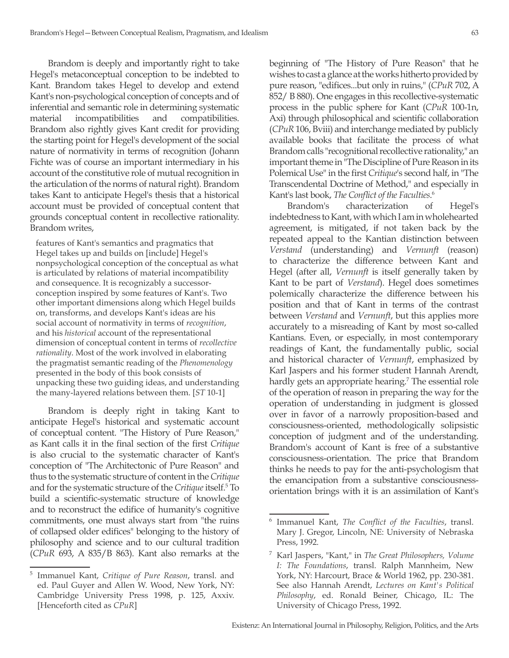Brandom is deeply and importantly right to take Hegel's metaconceptual conception to be indebted to Kant. Brandom takes Hegel to develop and extend Kant's non-psychological conception of concepts and of inferential and semantic role in determining systematic material incompatibilities and compatibilities. Brandom also rightly gives Kant credit for providing the starting point for Hegel's development of the social nature of normativity in terms of recognition (Johann Fichte was of course an important intermediary in his account of the constitutive role of mutual recognition in the articulation of the norms of natural right). Brandom takes Kant to anticipate Hegel's thesis that a historical account must be provided of conceptual content that grounds conceptual content in recollective rationality. Brandom writes,

features of Kant's semantics and pragmatics that Hegel takes up and builds on [include] Hegel's nonpsychological conception of the conceptual as what is articulated by relations of material incompatibility and consequence. It is recognizably a successorconception inspired by some features of Kant's. Two other important dimensions along which Hegel builds on, transforms, and develops Kant's ideas are his social account of normativity in terms of *recognition*, and his *historical* account of the representational dimension of conceptual content in terms of *recollective rationality*. Most of the work involved in elaborating the pragmatist semantic reading of the *Phenomenology* presented in the body of this book consists of unpacking these two guiding ideas, and understanding the many-layered relations between them. [*ST* 10-1]

Brandom is deeply right in taking Kant to anticipate Hegel's historical and systematic account of conceptual content. "The History of Pure Reason," as Kant calls it in the final section of the first *Critique* is also crucial to the systematic character of Kant's conception of "The Architectonic of Pure Reason" and thus to the systematic structure of content in the *Critique* and for the systematic structure of the *Critique* itself.5 To build a scientific-systematic structure of knowledge and to reconstruct the edifice of humanity's cognitive commitments, one must always start from "the ruins of collapsed older edifices" belonging to the history of philosophy and science and to our cultural tradition (*CPuR* 693, A 835/B 863). Kant also remarks at the

beginning of "The History of Pure Reason" that he wishes to cast a glance at the works hitherto provided by pure reason, "edifices...but only in ruins," (*CPuR* 702, A 852/ B 880). One engages in this recollective-systematic process in the public sphere for Kant (*CPuR* 100-1n, Axi) through philosophical and scientific collaboration (*CPuR* 106, Bviii) and interchange mediated by publicly available books that facilitate the process of what Brandom calls "recognitional recollective rationality," an important theme in "The Discipline of Pure Reason in its Polemical Use" in the first *Critique*'s second half, in "The Transcendental Doctrine of Method," and especially in Kant's last book, *The Conflict of the Faculties*. 6

Brandom's characterization of Hegel's indebtedness to Kant, with which I am in wholehearted agreement, is mitigated, if not taken back by the repeated appeal to the Kantian distinction between *Verstand* (understanding) and *Vernunft* (reason) to characterize the difference between Kant and Hegel (after all, *Vernunft* is itself generally taken by Kant to be part of *Verstand*). Hegel does sometimes polemically characterize the difference between his position and that of Kant in terms of the contrast between *Verstand* and *Vernunft*, but this applies more accurately to a misreading of Kant by most so-called Kantians. Even, or especially, in most contemporary readings of Kant, the fundamentally public, social and historical character of *Vernunft*, emphasized by Karl Jaspers and his former student Hannah Arendt, hardly gets an appropriate hearing.<sup>7</sup> The essential role of the operation of reason in preparing the way for the operation of understanding in judgment is glossed over in favor of a narrowly proposition-based and consciousness-oriented, methodologically solipsistic conception of judgment and of the understanding. Brandom's account of Kant is free of a substantive consciousness-orientation. The price that Brandom thinks he needs to pay for the anti-psychologism that the emancipation from a substantive consciousnessorientation brings with it is an assimilation of Kant's

<sup>5</sup> Immanuel Kant, *Critique of Pure Reason*, transl. and ed. Paul Guyer and Allen W. Wood, New York, NY: Cambridge University Press 1998, p. 125, Axxiv. [Henceforth cited as *CPuR*]

<sup>6</sup> Immanuel Kant, *The Conflict of the Faculties*, transl. Mary J. Gregor, Lincoln, NE: University of Nebraska Press, 1992.

<sup>7</sup> Karl Jaspers, "Kant," in *The Great Philosophers, Volume I: The Foundations*, transl. Ralph Mannheim, New York, NY: Harcourt, Brace & World 1962, pp. 230-381. See also Hannah Arendt, *Lectures on Kant's Political Philosophy*, ed. Ronald Beiner, Chicago, IL: The University of Chicago Press, 1992.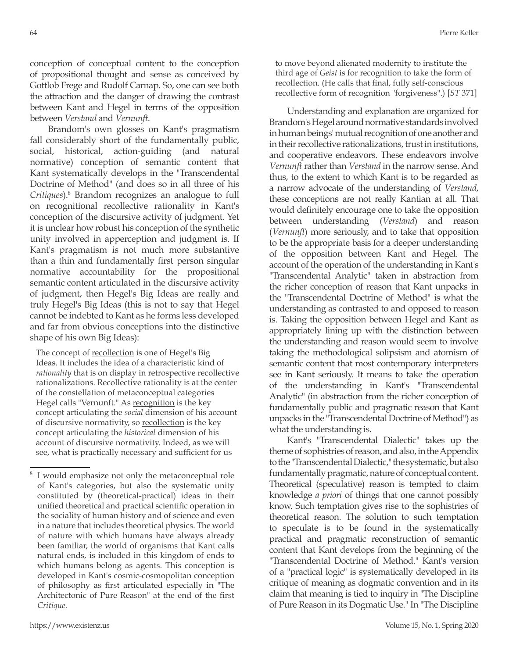conception of conceptual content to the conception of propositional thought and sense as conceived by Gottlob Frege and Rudolf Carnap. So, one can see both the attraction and the danger of drawing the contrast between Kant and Hegel in terms of the opposition between *Verstand* and *Vernunft*.

Brandom's own glosses on Kant's pragmatism fall considerably short of the fundamentally public, social, historical, action-guiding (and natural normative) conception of semantic content that Kant systematically develops in the "Transcendental Doctrine of Method" (and does so in all three of his *Critiques*).8 Brandom recognizes an analogue to full on recognitional recollective rationality in Kant's conception of the discursive activity of judgment. Yet it is unclear how robust his conception of the synthetic unity involved in apperception and judgment is. If Kant's pragmatism is not much more substantive than a thin and fundamentally first person singular normative accountability for the propositional semantic content articulated in the discursive activity of judgment, then Hegel's Big Ideas are really and truly Hegel's Big Ideas (this is not to say that Hegel cannot be indebted to Kant as he forms less developed and far from obvious conceptions into the distinctive shape of his own Big Ideas):

The concept of recollection is one of Hegel's Big Ideas. It includes the idea of a characteristic kind of *rationality* that is on display in retrospective recollective rationalizations. Recollective rationality is at the center of the constellation of metaconceptual categories Hegel calls "Vernunft." As recognition is the key concept articulating the *social* dimension of his account of discursive normativity, so <u>recollection</u> is the key concept articulating the *historical* dimension of his account of discursive normativity. Indeed, as we will see, what is practically necessary and sufficient for us

to move beyond alienated modernity to institute the third age of *Geist* is for recognition to take the form of recollection. (He calls that final, fully self-conscious recollective form of recognition "forgiveness".) [*ST* 371]

Understanding and explanation are organized for Brandom's Hegel around normative standards involved in human beings' mutual recognition of one another and in their recollective rationalizations, trust in institutions, and cooperative endeavors. These endeavors involve *Vernunft* rather than *Verstand* in the narrow sense. And thus, to the extent to which Kant is to be regarded as a narrow advocate of the understanding of *Verstand*, these conceptions are not really Kantian at all. That would definitely encourage one to take the opposition between understanding (*Verstand*) and reason (*Vernunft*) more seriously, and to take that opposition to be the appropriate basis for a deeper understanding of the opposition between Kant and Hegel. The account of the operation of the understanding in Kant's "Transcendental Analytic" taken in abstraction from the richer conception of reason that Kant unpacks in the "Transcendental Doctrine of Method" is what the understanding as contrasted to and opposed to reason is. Taking the opposition between Hegel and Kant as appropriately lining up with the distinction between the understanding and reason would seem to involve taking the methodological solipsism and atomism of semantic content that most contemporary interpreters see in Kant seriously. It means to take the operation of the understanding in Kant's "Transcendental Analytic" (in abstraction from the richer conception of fundamentally public and pragmatic reason that Kant unpacks in the "Transcendental Doctrine of Method") as what the understanding is.

Kant's "Transcendental Dialectic" takes up the theme of sophistries of reason, and also, in the Appendix to the "Transcendental Dialectic," the systematic, but also fundamentally pragmatic, nature of conceptual content. Theoretical (speculative) reason is tempted to claim knowledge *a priori* of things that one cannot possibly know. Such temptation gives rise to the sophistries of theoretical reason. The solution to such temptation to speculate is to be found in the systematically practical and pragmatic reconstruction of semantic content that Kant develops from the beginning of the "Transcendental Doctrine of Method." Kant's version of a "practical logic" is systematically developed in its critique of meaning as dogmatic convention and in its claim that meaning is tied to inquiry in "The Discipline of Pure Reason in its Dogmatic Use." In "The Discipline

I would emphasize not only the metaconceptual role of Kant's categories, but also the systematic unity constituted by (theoretical-practical) ideas in their unified theoretical and practical scientific operation in the sociality of human history and of science and even in a nature that includes theoretical physics. The world of nature with which humans have always already been familiar, the world of organisms that Kant calls natural ends, is included in this kingdom of ends to which humans belong as agents. This conception is developed in Kant's cosmic-cosmopolitan conception of philosophy as first articulated especially in "The Architectonic of Pure Reason" at the end of the first *Critique*.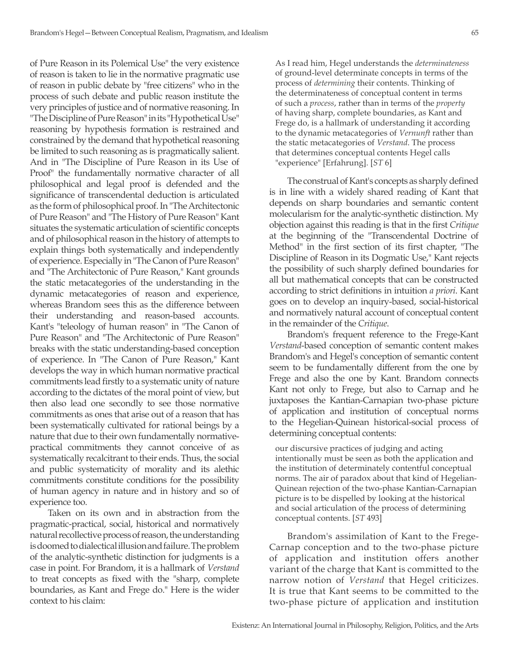of Pure Reason in its Polemical Use" the very existence of reason is taken to lie in the normative pragmatic use of reason in public debate by "free citizens" who in the process of such debate and public reason institute the very principles of justice and of normative reasoning. In "The Discipline of Pure Reason" in its "Hypothetical Use" reasoning by hypothesis formation is restrained and constrained by the demand that hypothetical reasoning be limited to such reasoning as is pragmatically salient. And in "The Discipline of Pure Reason in its Use of Proof" the fundamentally normative character of all philosophical and legal proof is defended and the significance of transcendental deduction is articulated as the form of philosophical proof. In "The Architectonic of Pure Reason" and "The History of Pure Reason" Kant situates the systematic articulation of scientific concepts and of philosophical reason in the history of attempts to explain things both systematically and independently of experience. Especially in "The Canon of Pure Reason" and "The Architectonic of Pure Reason," Kant grounds the static metacategories of the understanding in the dynamic metacategories of reason and experience, whereas Brandom sees this as the difference between their understanding and reason-based accounts. Kant's "teleology of human reason" in "The Canon of Pure Reason" and "The Architectonic of Pure Reason" breaks with the static understanding-based conception of experience. In "The Canon of Pure Reason," Kant develops the way in which human normative practical commitments lead firstly to a systematic unity of nature according to the dictates of the moral point of view, but then also lead one secondly to see those normative commitments as ones that arise out of a reason that has been systematically cultivated for rational beings by a nature that due to their own fundamentally normativepractical commitments they cannot conceive of as systematically recalcitrant to their ends. Thus, the social and public systematicity of morality and its alethic commitments constitute conditions for the possibility of human agency in nature and in history and so of experience too.

Taken on its own and in abstraction from the pragmatic-practical, social, historical and normatively natural recollective process of reason, the understanding is doomed to dialectical illusion and failure. The problem of the analytic-synthetic distinction for judgments is a case in point. For Brandom, it is a hallmark of *Verstand* to treat concepts as fixed with the "sharp, complete boundaries, as Kant and Frege do." Here is the wider context to his claim:

As I read him, Hegel understands the *determinateness* of ground-level determinate concepts in terms of the process of *determining* their contents. Thinking of the determinateness of conceptual content in terms of such a *process*, rather than in terms of the *property* of having sharp, complete boundaries, as Kant and Frege do, is a hallmark of understanding it according to the dynamic metacategories of *Vernunft* rather than the static metacategories of *Verstand*. The process that determines conceptual contents Hegel calls "experience" [Erfahrung]. [*ST* 6]

The construal of Kant's concepts as sharply defined is in line with a widely shared reading of Kant that depends on sharp boundaries and semantic content molecularism for the analytic-synthetic distinction. My objection against this reading is that in the first *Critique* at the beginning of the "Transcendental Doctrine of Method" in the first section of its first chapter, "The Discipline of Reason in its Dogmatic Use," Kant rejects the possibility of such sharply defined boundaries for all but mathematical concepts that can be constructed according to strict definitions in intuition *a priori*. Kant goes on to develop an inquiry-based, social-historical and normatively natural account of conceptual content in the remainder of the *Critique*.

Brandom's frequent reference to the Frege-Kant *Verstand*-based conception of semantic content makes Brandom's and Hegel's conception of semantic content seem to be fundamentally different from the one by Frege and also the one by Kant. Brandom connects Kant not only to Frege, but also to Carnap and he juxtaposes the Kantian-Carnapian two-phase picture of application and institution of conceptual norms to the Hegelian-Quinean historical-social process of determining conceptual contents:

our discursive practices of judging and acting intentionally must be seen as both the application and the institution of determinately contentful conceptual norms. The air of paradox about that kind of Hegelian-Quinean rejection of the two-phase Kantian-Carnapian picture is to be dispelled by looking at the historical and social articulation of the process of determining conceptual contents. [*ST* 493]

Brandom's assimilation of Kant to the Frege-Carnap conception and to the two-phase picture of application and institution offers another variant of the charge that Kant is committed to the narrow notion of *Verstand* that Hegel criticizes. It is true that Kant seems to be committed to the two-phase picture of application and institution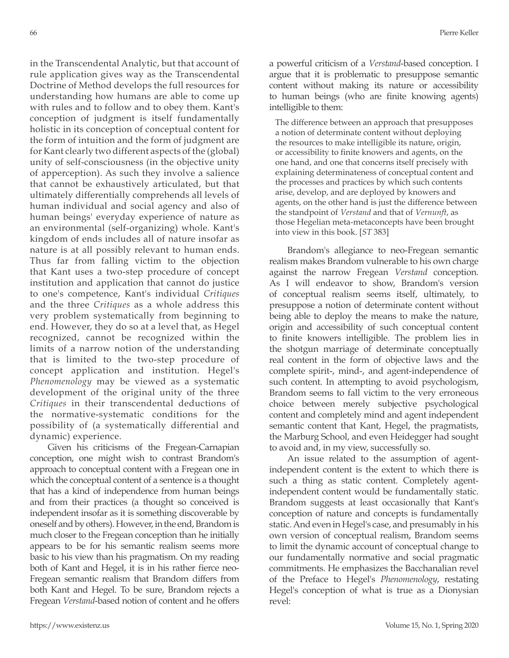in the Transcendental Analytic, but that account of rule application gives way as the Transcendental Doctrine of Method develops the full resources for understanding how humans are able to come up with rules and to follow and to obey them. Kant's conception of judgment is itself fundamentally holistic in its conception of conceptual content for the form of intuition and the form of judgment are for Kant clearly two different aspects of the (global) unity of self-consciousness (in the objective unity of apperception). As such they involve a salience that cannot be exhaustively articulated, but that ultimately differentially comprehends all levels of human individual and social agency and also of human beings' everyday experience of nature as an environmental (self-organizing) whole. Kant's kingdom of ends includes all of nature insofar as nature is at all possibly relevant to human ends. Thus far from falling victim to the objection that Kant uses a two-step procedure of concept institution and application that cannot do justice to one's competence, Kant's individual *Critiques* and the three *Critiques* as a whole address this very problem systematically from beginning to end. However, they do so at a level that, as Hegel recognized, cannot be recognized within the limits of a narrow notion of the understanding that is limited to the two-step procedure of concept application and institution. Hegel's *Phenomenology* may be viewed as a systematic development of the original unity of the three *Critiques* in their transcendental deductions of the normative-systematic conditions for the possibility of (a systematically differential and dynamic) experience.

Given his criticisms of the Fregean-Carnapian conception, one might wish to contrast Brandom's approach to conceptual content with a Fregean one in which the conceptual content of a sentence is a thought that has a kind of independence from human beings and from their practices (a thought so conceived is independent insofar as it is something discoverable by oneself and by others). However, in the end, Brandom is much closer to the Fregean conception than he initially appears to be for his semantic realism seems more basic to his view than his pragmatism. On my reading both of Kant and Hegel, it is in his rather fierce neo-Fregean semantic realism that Brandom differs from both Kant and Hegel. To be sure, Brandom rejects a Fregean *Verstand*-based notion of content and he offers

The difference between an approach that presupposes a notion of determinate content without deploying the resources to make intelligible its nature, origin, or accessibility to finite knowers and agents, on the one hand, and one that concerns itself precisely with explaining determinateness of conceptual content and the processes and practices by which such contents arise, develop, and are deployed by knowers and agents, on the other hand is just the difference between the standpoint of *Verstand* and that of *Vernunft*, as those Hegelian meta-metaconcepts have been brought into view in this book. [*ST* 383]

Brandom's allegiance to neo-Fregean semantic realism makes Brandom vulnerable to his own charge against the narrow Fregean *Verstand* conception. As I will endeavor to show, Brandom's version of conceptual realism seems itself, ultimately, to presuppose a notion of determinate content without being able to deploy the means to make the nature, origin and accessibility of such conceptual content to finite knowers intelligible. The problem lies in the shotgun marriage of determinate conceptually real content in the form of objective laws and the complete spirit-, mind-, and agent-independence of such content. In attempting to avoid psychologism, Brandom seems to fall victim to the very erroneous choice between merely subjective psychological content and completely mind and agent independent semantic content that Kant, Hegel, the pragmatists, the Marburg School, and even Heidegger had sought to avoid and, in my view, successfully so.

An issue related to the assumption of agentindependent content is the extent to which there is such a thing as static content. Completely agentindependent content would be fundamentally static. Brandom suggests at least occasionally that Kant's conception of nature and concepts is fundamentally static. And even in Hegel's case, and presumably in his own version of conceptual realism, Brandom seems to limit the dynamic account of conceptual change to our fundamentally normative and social pragmatic commitments. He emphasizes the Bacchanalian revel of the Preface to Hegel's *Phenomenology*, restating Hegel's conception of what is true as a Dionysian revel: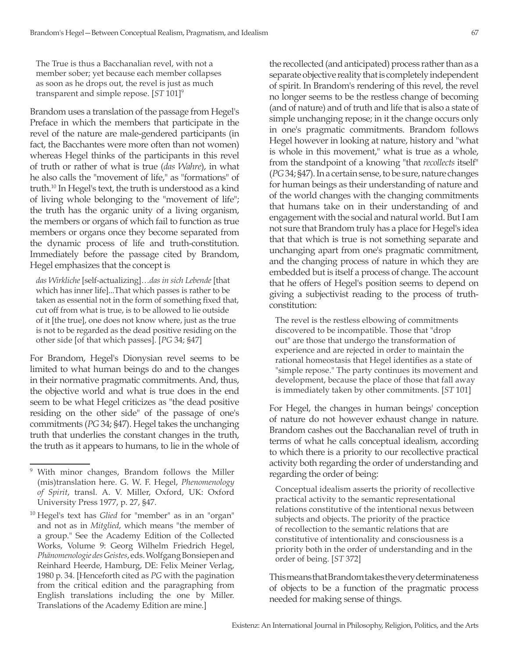The True is thus a Bacchanalian revel, with not a member sober; yet because each member collapses as soon as he drops out, the revel is just as much transparent and simple repose. [*ST* 101]<sup>9</sup>

Brandom uses a translation of the passage from Hegel's Preface in which the members that participate in the revel of the nature are male-gendered participants (in fact, the Bacchantes were more often than not women) whereas Hegel thinks of the participants in this revel of truth or rather of what is true (*das Wahre*), in what he also calls the "movement of life," as "formations" of truth.<sup>10</sup> In Hegel's text, the truth is understood as a kind of living whole belonging to the "movement of life"; the truth has the organic unity of a living organism, the members or organs of which fail to function as true members or organs once they become separated from the dynamic process of life and truth-constitution. Immediately before the passage cited by Brandom, Hegel emphasizes that the concept is

*das Wirkliche* [self-actualizing]…*das in sich Lebende* [that which has inner life]...That which passes is rather to be taken as essential not in the form of something fixed that, cut off from what is true, is to be allowed to lie outside of it [the true], one does not know where, just as the true is not to be regarded as the dead positive residing on the other side [of that which passes]. [*PG* 34; §47]

For Brandom, Hegel's Dionysian revel seems to be limited to what human beings do and to the changes in their normative pragmatic commitments. And, thus, the objective world and what is true does in the end seem to be what Hegel criticizes as "the dead positive residing on the other side" of the passage of one's commitments (*PG* 34; §47). Hegel takes the unchanging truth that underlies the constant changes in the truth, the truth as it appears to humans, to lie in the whole of the recollected (and anticipated) process rather than as a separate objective reality that is completely independent of spirit. In Brandom's rendering of this revel, the revel no longer seems to be the restless change of becoming (and of nature) and of truth and life that is also a state of simple unchanging repose; in it the change occurs only in one's pragmatic commitments. Brandom follows Hegel however in looking at nature, history and "what is whole in this movement," what is true as a whole, from the standpoint of a knowing "that *recollects* itself" (*PG* 34; §47). In a certain sense, to be sure, nature changes for human beings as their understanding of nature and of the world changes with the changing commitments that humans take on in their understanding of and engagement with the social and natural world. But I am not sure that Brandom truly has a place for Hegel's idea that that which is true is not something separate and unchanging apart from one's pragmatic commitment, and the changing process of nature in which they are embedded but is itself a process of change. The account that he offers of Hegel's position seems to depend on giving a subjectivist reading to the process of truthconstitution:

The revel is the restless elbowing of commitments discovered to be incompatible. Those that "drop out" are those that undergo the transformation of experience and are rejected in order to maintain the rational homeostasis that Hegel identifies as a state of "simple repose." The party continues its movement and development, because the place of those that fall away is immediately taken by other commitments. [*ST* 101]

For Hegel, the changes in human beings' conception of nature do not however exhaust change in nature. Brandom cashes out the Bacchanalian revel of truth in terms of what he calls conceptual idealism, according to which there is a priority to our recollective practical activity both regarding the order of understanding and regarding the order of being:

Conceptual idealism asserts the priority of recollective practical activity to the semantic representational relations constitutive of the intentional nexus between subjects and objects. The priority of the practice of recollection to the semantic relations that are constitutive of intentionality and consciousness is a priority both in the order of understanding and in the order of being. [*ST* 372]

This means that Brandom takes the very determinateness of objects to be a function of the pragmatic process needed for making sense of things.

<sup>9</sup> With minor changes, Brandom follows the Miller (mis)translation here. G. W. F. Hegel, *Phenomenology of Spirit*, transl. A. V. Miller, Oxford, UK: Oxford University Press 1977, p. 27, §47.

<sup>10</sup> Hegel's text has *Glied* for "member" as in an "organ" and not as in *Mitglied*, which means "the member of a group." See the Academy Edition of the Collected Works, Volume 9: Georg Wilhelm Friedrich Hegel, *Phänomenologie des Geistes*, eds. Wolfgang Bonsiepen and Reinhard Heerde, Hamburg, DE: Felix Meiner Verlag, 1980 p. 34. [Henceforth cited as *PG* with the pagination from the critical edition and the paragraphing from English translations including the one by Miller. Translations of the Academy Edition are mine.]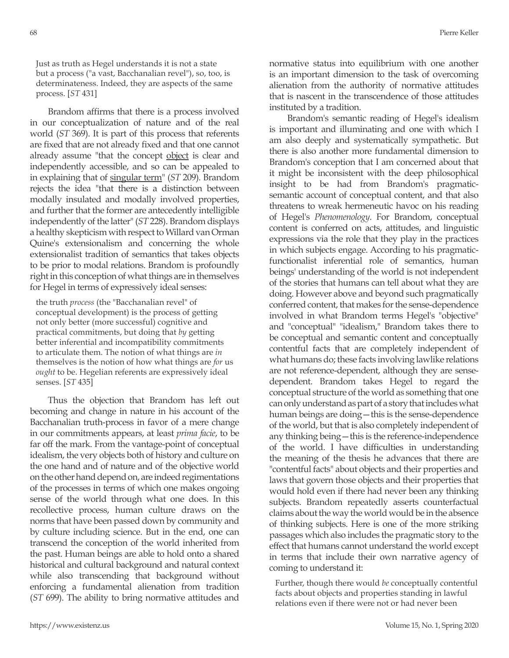Just as truth as Hegel understands it is not a state but a process ("a vast, Bacchanalian revel"), so, too, is determinateness. Indeed, they are aspects of the same process. [*ST* 431]

Brandom affirms that there is a process involved in our conceptualization of nature and of the real world (*ST* 369). It is part of this process that referents are fixed that are not already fixed and that one cannot already assume "that the concept object is clear and independently accessible, and so can be appealed to in explaining that of singular term" (*ST* 209). Brandom rejects the idea "that there is a distinction between modally insulated and modally involved properties, and further that the former are antecedently intelligible independently of the latter" (*ST* 228). Brandom displays a healthy skepticism with respect to Willard van Orman Quine's extensionalism and concerning the whole extensionalist tradition of semantics that takes objects to be prior to modal relations. Brandom is profoundly right in this conception of what things are in themselves for Hegel in terms of expressively ideal senses:

the truth *process* (the "Bacchanalian revel" of conceptual development) is the process of getting not only better (more successful) cognitive and practical commitments, but doing that *by* getting better inferential and incompatibility commitments to articulate them. The notion of what things are *in* themselves is the notion of how what things are *for* us *ought* to be. Hegelian referents are expressively ideal senses. [*ST* 435]

Thus the objection that Brandom has left out becoming and change in nature in his account of the Bacchanalian truth-process in favor of a mere change in our commitments appears, at least *prima facie*, to be far off the mark. From the vantage-point of conceptual idealism, the very objects both of history and culture on the one hand and of nature and of the objective world on the other hand depend on, are indeed regimentations of the processes in terms of which one makes ongoing sense of the world through what one does. In this recollective process, human culture draws on the norms that have been passed down by community and by culture including science. But in the end, one can transcend the conception of the world inherited from the past. Human beings are able to hold onto a shared historical and cultural background and natural context while also transcending that background without enforcing a fundamental alienation from tradition (*ST* 699). The ability to bring normative attitudes and

normative status into equilibrium with one another is an important dimension to the task of overcoming alienation from the authority of normative attitudes that is nascent in the transcendence of those attitudes instituted by a tradition.

Brandom's semantic reading of Hegel's idealism is important and illuminating and one with which I am also deeply and systematically sympathetic. But there is also another more fundamental dimension to Brandom's conception that I am concerned about that it might be inconsistent with the deep philosophical insight to be had from Brandom's pragmaticsemantic account of conceptual content, and that also threatens to wreak hermeneutic havoc on his reading of Hegel's *Phenomenology*. For Brandom, conceptual content is conferred on acts, attitudes, and linguistic expressions via the role that they play in the practices in which subjects engage. According to his pragmaticfunctionalist inferential role of semantics, human beings' understanding of the world is not independent of the stories that humans can tell about what they are doing. However above and beyond such pragmatically conferred content, that makes for the sense-dependence involved in what Brandom terms Hegel's "objective" and "conceptual" "idealism," Brandom takes there to be conceptual and semantic content and conceptually contentful facts that are completely independent of what humans do; these facts involving lawlike relations are not reference-dependent, although they are sensedependent. Brandom takes Hegel to regard the conceptual structure of the world as something that one can only understand as part of a story that includes what human beings are doing—this is the sense-dependence of the world, but that is also completely independent of any thinking being—this is the reference-independence of the world. I have difficulties in understanding the meaning of the thesis he advances that there are "contentful facts" about objects and their properties and laws that govern those objects and their properties that would hold even if there had never been any thinking subjects. Brandom repeatedly asserts counterfactual claims about the way the world would be in the absence of thinking subjects. Here is one of the more striking passages which also includes the pragmatic story to the effect that humans cannot understand the world except in terms that include their own narrative agency of coming to understand it:

Further, though there would *be* conceptually contentful facts about objects and properties standing in lawful relations even if there were not or had never been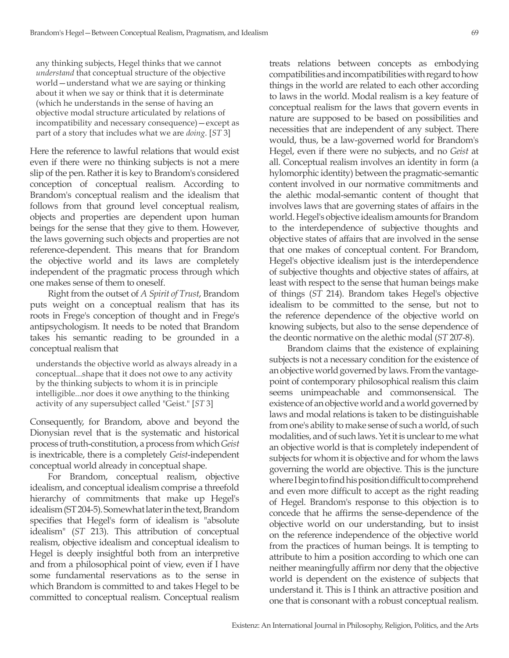any thinking subjects, Hegel thinks that we cannot *understand* that conceptual structure of the objective world—understand what we are saying or thinking about it when we say or think that it is determinate (which he understands in the sense of having an objective modal structure articulated by relations of incompatibility and necessary consequence)—except as part of a story that includes what we are *doing*. [*ST* 3]

Here the reference to lawful relations that would exist even if there were no thinking subjects is not a mere slip of the pen. Rather it is key to Brandom's considered conception of conceptual realism. According to Brandom's conceptual realism and the idealism that follows from that ground level conceptual realism, objects and properties are dependent upon human beings for the sense that they give to them. However, the laws governing such objects and properties are not reference-dependent. This means that for Brandom the objective world and its laws are completely independent of the pragmatic process through which one makes sense of them to oneself.

Right from the outset of *A Spirit of Trust*, Brandom puts weight on a conceptual realism that has its roots in Frege's conception of thought and in Frege's antipsychologism. It needs to be noted that Brandom takes his semantic reading to be grounded in a conceptual realism that

understands the objective world as always already in a conceptual...shape that it does not owe to any activity by the thinking subjects to whom it is in principle intelligible...nor does it owe anything to the thinking activity of any supersubject called "Geist." [*ST* 3]

Consequently, for Brandom, above and beyond the Dionysian revel that is the systematic and historical process of truth-constitution, a process from which *Geist*  is inextricable, there is a completely *Geist*-independent conceptual world already in conceptual shape.

For Brandom, conceptual realism, objective idealism, and conceptual idealism comprise a threefold hierarchy of commitments that make up Hegel's idealism (ST 204-5). Somewhat later in the text, Brandom specifies that Hegel's form of idealism is "absolute idealism" (*ST* 213). This attribution of conceptual realism, objective idealism and conceptual idealism to Hegel is deeply insightful both from an interpretive and from a philosophical point of view, even if I have some fundamental reservations as to the sense in which Brandom is committed to and takes Hegel to be committed to conceptual realism. Conceptual realism

treats relations between concepts as embodying compatibilities and incompatibilities with regard to how things in the world are related to each other according to laws in the world. Modal realism is a key feature of conceptual realism for the laws that govern events in nature are supposed to be based on possibilities and necessities that are independent of any subject. There would, thus, be a law-governed world for Brandom's Hegel, even if there were no subjects, and no *Geist* at all. Conceptual realism involves an identity in form (a hylomorphic identity) between the pragmatic-semantic content involved in our normative commitments and the alethic modal-semantic content of thought that involves laws that are governing states of affairs in the world. Hegel's objective idealism amounts for Brandom to the interdependence of subjective thoughts and objective states of affairs that are involved in the sense that one makes of conceptual content. For Brandom, Hegel's objective idealism just is the interdependence of subjective thoughts and objective states of affairs, at least with respect to the sense that human beings make of things (*ST* 214). Brandom takes Hegel's objective idealism to be committed to the sense, but not to the reference dependence of the objective world on knowing subjects, but also to the sense dependence of the deontic normative on the alethic modal (*ST* 207-8).

Brandom claims that the existence of explaining subjects is not a necessary condition for the existence of an objective world governed by laws. From the vantagepoint of contemporary philosophical realism this claim seems unimpeachable and commonsensical. The existence of an objective world and a world governed by laws and modal relations is taken to be distinguishable from one's ability to make sense of such a world, of such modalities, and of such laws. Yet it is unclear to me what an objective world is that is completely independent of subjects for whom it is objective and for whom the laws governing the world are objective. This is the juncture where I begin to find his position difficult to comprehend and even more difficult to accept as the right reading of Hegel. Brandom's response to this objection is to concede that he affirms the sense-dependence of the objective world on our understanding, but to insist on the reference independence of the objective world from the practices of human beings. It is tempting to attribute to him a position according to which one can neither meaningfully affirm nor deny that the objective world is dependent on the existence of subjects that understand it. This is I think an attractive position and one that is consonant with a robust conceptual realism.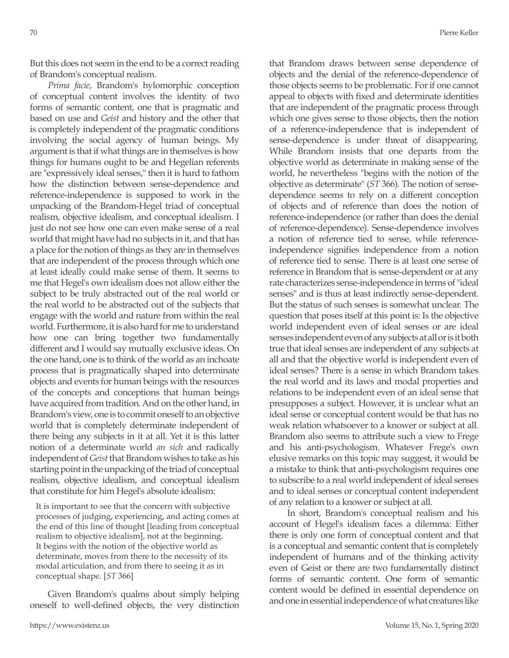But this does not seem in the end to be a correct reading of Brandom's conceptual realism.

*Prima facie*, Brandom's hylomorphic conception of conceptual content involves the identity of two forms of semantic content, one that is pragmatic and based on use and *Geist* and history and the other that is completely independent of the pragmatic conditions involving the social agency of human beings. My argument is that if what things are in themselves is how things for humans ought to be and Hegelian referents are "expressively ideal senses," then it is hard to fathom how the distinction between sense-dependence and reference-independence is supposed to work in the unpacking of the Brandom-Hegel triad of conceptual realism, objective idealism, and conceptual idealism. I just do not see how one can even make sense of a real world that might have had no subjects in it, and that has a place for the notion of things as they are in themselves that are independent of the process through which one at least ideally could make sense of them. It seems to me that Hegel's own idealism does not allow either the subject to be truly abstracted out of the real world or the real world to be abstracted out of the subjects that engage with the world and nature from within the real world. Furthermore, it is also hard for me to understand how one can bring together two fundamentally different and I would say mutually exclusive ideas. On the one hand, one is to think of the world as an inchoate process that is pragmatically shaped into determinate objects and events for human beings with the resources of the concepts and conceptions that human beings have acquired from tradition. And on the other hand, in Brandom's view, one is to commit oneself to an objective world that is completely determinate independent of there being any subjects in it at all. Yet it is this latter notion of a determinate world *an sich* and radically independent of *Geist* that Brandom wishes to take as his starting point in the unpacking of the triad of conceptual realism, objective idealism, and conceptual idealism that constitute for him Hegel's absolute idealism:

It is important to see that the concern with subjective processes of judging, experiencing, and acting comes at the end of this line of thought [leading from conceptual realism to objective idealism], not at the beginning. It begins with the notion of the objective world as determinate, moves from there to the necessity of its modal articulation, and from there to seeing it as in conceptual shape. [*ST* 366]

Given Brandom's qualms about simply helping oneself to well-defined objects, the very distinction that Brandom draws between sense dependence of objects and the denial of the reference-dependence of those objects seems to be problematic. For if one cannot appeal to objects with fixed and determinate identities that are independent of the pragmatic process through which one gives sense to those objects, then the notion of a reference-independence that is independent of sense-dependence is under threat of disappearing. While Brandom insists that one departs from the objective world as determinate in making sense of the world, he nevertheless "begins with the notion of the objective as determinate" (*ST* 366). The notion of sensedependence seems to rely on a different conception of objects and of reference than does the notion of reference-independence (or rather than does the denial of reference-dependence). Sense-dependence involves a notion of reference tied to sense, while referenceindependence signifies independence from a notion of reference tied to sense. There is at least one sense of reference in Brandom that is sense-dependent or at any rate characterizes sense-independence in terms of "ideal senses" and is thus at least indirectly sense-dependent. But the status of such senses is somewhat unclear. The question that poses itself at this point is: Is the objective world independent even of ideal senses or are ideal senses independent even of any subjects at all or is it both true that ideal senses are independent of any subjects at all and that the objective world is independent even of ideal senses? There is a sense in which Brandom takes the real world and its laws and modal properties and relations to be independent even of an ideal sense that presupposes a subject. However, it is unclear what an ideal sense or conceptual content would be that has no weak relation whatsoever to a knower or subject at all. Brandom also seems to attribute such a view to Frege and his anti-psychologism. Whatever Frege's own elusive remarks on this topic may suggest, it would be a mistake to think that anti-psychologism requires one to subscribe to a real world independent of ideal senses and to ideal senses or conceptual content independent of any relation to a knower or subject at all.

In short, Brandom's conceptual realism and his account of Hegel's idealism faces a dilemma: Either there is only one form of conceptual content and that is a conceptual and semantic content that is completely independent of humans and of the thinking activity even of Geist or there are two fundamentally distinct forms of semantic content. One form of semantic content would be defined in essential dependence on and one in essential independence of what creatures like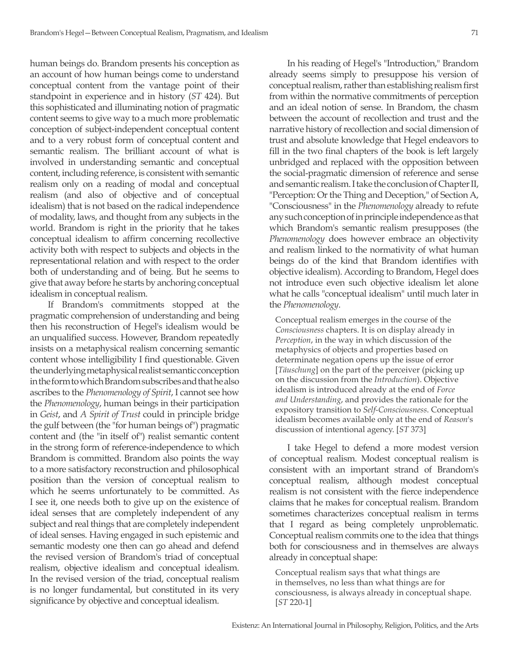human beings do. Brandom presents his conception as an account of how human beings come to understand conceptual content from the vantage point of their standpoint in experience and in history (*ST* 424). But this sophisticated and illuminating notion of pragmatic content seems to give way to a much more problematic conception of subject-independent conceptual content and to a very robust form of conceptual content and semantic realism. The brilliant account of what is involved in understanding semantic and conceptual content, including reference, is consistent with semantic realism only on a reading of modal and conceptual realism (and also of objective and of conceptual idealism) that is not based on the radical independence of modality, laws, and thought from any subjects in the world. Brandom is right in the priority that he takes conceptual idealism to affirm concerning recollective activity both with respect to subjects and objects in the representational relation and with respect to the order both of understanding and of being. But he seems to give that away before he starts by anchoring conceptual idealism in conceptual realism.

If Brandom's commitments stopped at the pragmatic comprehension of understanding and being then his reconstruction of Hegel's idealism would be an unqualified success. However, Brandom repeatedly insists on a metaphysical realism concerning semantic content whose intelligibility I find questionable. Given the underlying metaphysical realist semantic conception in the form to which Brandom subscribes and that he also ascribes to the *Phenomenology of Spirit*, I cannot see how the *Phenomenology*, human beings in their participation in *Geist*, and *A Spirit of Trust* could in principle bridge the gulf between (the "for human beings of") pragmatic content and (the "in itself of") realist semantic content in the strong form of reference-independence to which Brandom is committed. Brandom also points the way to a more satisfactory reconstruction and philosophical position than the version of conceptual realism to which he seems unfortunately to be committed. As I see it, one needs both to give up on the existence of ideal senses that are completely independent of any subject and real things that are completely independent of ideal senses. Having engaged in such epistemic and semantic modesty one then can go ahead and defend the revised version of Brandom's triad of conceptual realism, objective idealism and conceptual idealism. In the revised version of the triad, conceptual realism is no longer fundamental, but constituted in its very significance by objective and conceptual idealism.

In his reading of Hegel's "Introduction," Brandom already seems simply to presuppose his version of conceptual realism, rather than establishing realism first from within the normative commitments of perception and an ideal notion of sense. In Brandom, the chasm between the account of recollection and trust and the narrative history of recollection and social dimension of trust and absolute knowledge that Hegel endeavors to fill in the two final chapters of the book is left largely unbridged and replaced with the opposition between the social-pragmatic dimension of reference and sense and semantic realism. I take the conclusion of Chapter II, "Perception: Or the Thing and Deception," of Section A, "Consciousness" in the *Phenomenology* already to refute any such conception of in principle independence as that which Brandom's semantic realism presupposes (the *Phenomenology* does however embrace an objectivity and realism linked to the normativity of what human beings do of the kind that Brandom identifies with objective idealism). According to Brandom, Hegel does not introduce even such objective idealism let alone what he calls "conceptual idealism" until much later in the *Phenomenology*.

Conceptual realism emerges in the course of the *Consciousness* chapters. It is on display already in *Perception*, in the way in which discussion of the metaphysics of objects and properties based on determinate negation opens up the issue of error [*Täuschung*] on the part of the perceiver (picking up on the discussion from the *Introduction*). Objective idealism is introduced already at the end of *Force and Understanding*, and provides the rationale for the expository transition to *Self-Consciousness*. Conceptual idealism becomes available only at the end of *Reason*'s discussion of intentional agency. [*ST* 373]

I take Hegel to defend a more modest version of conceptual realism. Modest conceptual realism is consistent with an important strand of Brandom's conceptual realism, although modest conceptual realism is not consistent with the fierce independence claims that he makes for conceptual realism. Brandom sometimes characterizes conceptual realism in terms that I regard as being completely unproblematic. Conceptual realism commits one to the idea that things both for consciousness and in themselves are always already in conceptual shape:

Conceptual realism says that what things are in themselves, no less than what things are for consciousness, is always already in conceptual shape. [*ST* 220-1]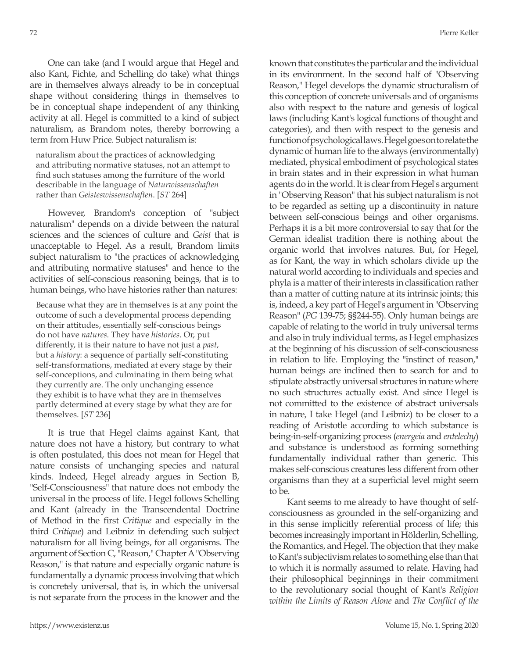One can take (and I would argue that Hegel and also Kant, Fichte, and Schelling do take) what things are in themselves always already to be in conceptual shape without considering things in themselves to be in conceptual shape independent of any thinking activity at all. Hegel is committed to a kind of subject naturalism, as Brandom notes, thereby borrowing a term from Huw Price. Subject naturalism is:

naturalism about the practices of acknowledging and attributing normative statuses, not an attempt to find such statuses among the furniture of the world describable in the language of *Naturwissenschaften* rather than *Geisteswissenschaften*. [*ST* 264]

However, Brandom's conception of "subject naturalism" depends on a divide between the natural sciences and the sciences of culture and *Geist* that is unacceptable to Hegel. As a result, Brandom limits subject naturalism to "the practices of acknowledging and attributing normative statuses" and hence to the activities of self-conscious reasoning beings, that is to human beings, who have histories rather than natures:

Because what they are in themselves is at any point the outcome of such a developmental process depending on their attitudes, essentially self-conscious beings do not have *natures*. They have *histories*. Or, put differently, it is their nature to have not just a *past*, but a *history*: a sequence of partially self-constituting self-transformations, mediated at every stage by their self-conceptions, and culminating in them being what they currently are. The only unchanging essence they exhibit is to have what they are in themselves partly determined at every stage by what they are for themselves. [*ST* 236]

It is true that Hegel claims against Kant, that nature does not have a history, but contrary to what is often postulated, this does not mean for Hegel that nature consists of unchanging species and natural kinds. Indeed, Hegel already argues in Section B, "Self-Consciousness" that nature does not embody the universal in the process of life. Hegel follows Schelling and Kant (already in the Transcendental Doctrine of Method in the first *Critique* and especially in the third *Critique*) and Leibniz in defending such subject naturalism for all living beings, for all organisms. The argument of Section C, "Reason," Chapter A "Observing Reason," is that nature and especially organic nature is fundamentally a dynamic process involving that which is concretely universal, that is, in which the universal is not separate from the process in the knower and the

known that constitutes the particular and the individual in its environment. In the second half of "Observing Reason," Hegel develops the dynamic structuralism of this conception of concrete universals and of organisms also with respect to the nature and genesis of logical laws (including Kant's logical functions of thought and categories), and then with respect to the genesis and function of psychological laws. Hegel goes on to relate the dynamic of human life to the always (environmentally) mediated, physical embodiment of psychological states in brain states and in their expression in what human agents do in the world. It is clear from Hegel's argument in "Observing Reason" that his subject naturalism is not to be regarded as setting up a discontinuity in nature between self-conscious beings and other organisms. Perhaps it is a bit more controversial to say that for the German idealist tradition there is nothing about the organic world that involves natures. But, for Hegel, as for Kant, the way in which scholars divide up the natural world according to individuals and species and phyla is a matter of their interests in classification rather than a matter of cutting nature at its intrinsic joints; this is, indeed, a key part of Hegel's argument in "Observing Reason" (*PG* 139-75; §§244-55). Only human beings are capable of relating to the world in truly universal terms and also in truly individual terms, as Hegel emphasizes at the beginning of his discussion of self-consciousness in relation to life. Employing the "instinct of reason," human beings are inclined then to search for and to stipulate abstractly universal structures in nature where no such structures actually exist. And since Hegel is not committed to the existence of abstract universals in nature, I take Hegel (and Leibniz) to be closer to a reading of Aristotle according to which substance is being-in-self-organizing process (*energeia* and *entelechy*) and substance is understood as forming something fundamentally individual rather than generic. This makes self-conscious creatures less different from other organisms than they at a superficial level might seem to be.

Kant seems to me already to have thought of selfconsciousness as grounded in the self-organizing and in this sense implicitly referential process of life; this becomes increasingly important in Hölderlin, Schelling, the Romantics, and Hegel. The objection that they make to Kant's subjectivism relates to something else than that to which it is normally assumed to relate. Having had their philosophical beginnings in their commitment to the revolutionary social thought of Kant's *Religion within the Limits of Reason Alone* and *The Conflict of the*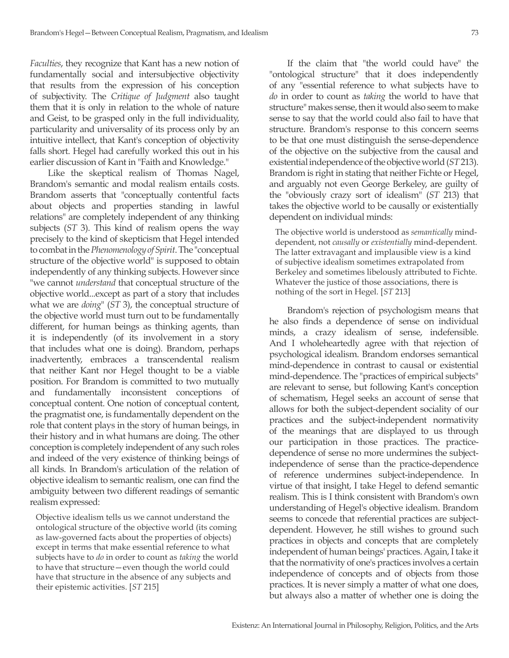*Faculties*, they recognize that Kant has a new notion of fundamentally social and intersubjective objectivity that results from the expression of his conception of subjectivity. The *Critique of Judgment* also taught them that it is only in relation to the whole of nature and Geist, to be grasped only in the full individuality, particularity and universality of its process only by an intuitive intellect, that Kant's conception of objectivity falls short. Hegel had carefully worked this out in his earlier discussion of Kant in "Faith and Knowledge."

Like the skeptical realism of Thomas Nagel, Brandom's semantic and modal realism entails costs. Brandom asserts that "conceptually contentful facts about objects and properties standing in lawful relations" are completely independent of any thinking subjects (*ST* 3). This kind of realism opens the way precisely to the kind of skepticism that Hegel intended to combat in the *Phenomenology of Spirit*. The "conceptual structure of the objective world" is supposed to obtain independently of any thinking subjects. However since "we cannot *understand* that conceptual structure of the objective world...except as part of a story that includes what we are *doing*" (*ST* 3), the conceptual structure of the objective world must turn out to be fundamentally different, for human beings as thinking agents, than it is independently (of its involvement in a story that includes what one is doing). Brandom, perhaps inadvertently, embraces a transcendental realism that neither Kant nor Hegel thought to be a viable position. For Brandom is committed to two mutually and fundamentally inconsistent conceptions of conceptual content. One notion of conceptual content, the pragmatist one, is fundamentally dependent on the role that content plays in the story of human beings, in their history and in what humans are doing. The other conception is completely independent of any such roles and indeed of the very existence of thinking beings of all kinds. In Brandom's articulation of the relation of objective idealism to semantic realism, one can find the ambiguity between two different readings of semantic realism expressed:

Objective idealism tells us we cannot understand the ontological structure of the objective world (its coming as law-governed facts about the properties of objects) except in terms that make essential reference to what subjects have to *do* in order to count as *taking* the world to have that structure—even though the world could have that structure in the absence of any subjects and their epistemic activities. [*ST* 215]

If the claim that "the world could have" the "ontological structure" that it does independently of any "essential reference to what subjects have to *do* in order to count as *taking* the world to have that structure" makes sense, then it would also seem to make sense to say that the world could also fail to have that structure. Brandom's response to this concern seems to be that one must distinguish the sense-dependence of the objective on the subjective from the causal and existential independence of the objective world (*ST* 213). Brandom is right in stating that neither Fichte or Hegel, and arguably not even George Berkeley, are guilty of the "obviously crazy sort of idealism" (*ST* 213) that takes the objective world to be causally or existentially dependent on individual minds:

The objective world is understood as *semantically* minddependent, not *causally* or *existentially* mind-dependent. The latter extravagant and implausible view is a kind of subjective idealism sometimes extrapolated from Berkeley and sometimes libelously attributed to Fichte. Whatever the justice of those associations, there is nothing of the sort in Hegel. [*ST* 213]

Brandom's rejection of psychologism means that he also finds a dependence of sense on individual minds, a crazy idealism of sense, indefensible. And I wholeheartedly agree with that rejection of psychological idealism. Brandom endorses semantical mind-dependence in contrast to causal or existential mind-dependence. The "practices of empirical subjects" are relevant to sense, but following Kant's conception of schematism, Hegel seeks an account of sense that allows for both the subject-dependent sociality of our practices and the subject-independent normativity of the meanings that are displayed to us through our participation in those practices. The practicedependence of sense no more undermines the subjectindependence of sense than the practice-dependence of reference undermines subject-independence. In virtue of that insight, I take Hegel to defend semantic realism. This is I think consistent with Brandom's own understanding of Hegel's objective idealism. Brandom seems to concede that referential practices are subjectdependent. However, he still wishes to ground such practices in objects and concepts that are completely independent of human beings' practices. Again, I take it that the normativity of one's practices involves a certain independence of concepts and of objects from those practices. It is never simply a matter of what one does, but always also a matter of whether one is doing the